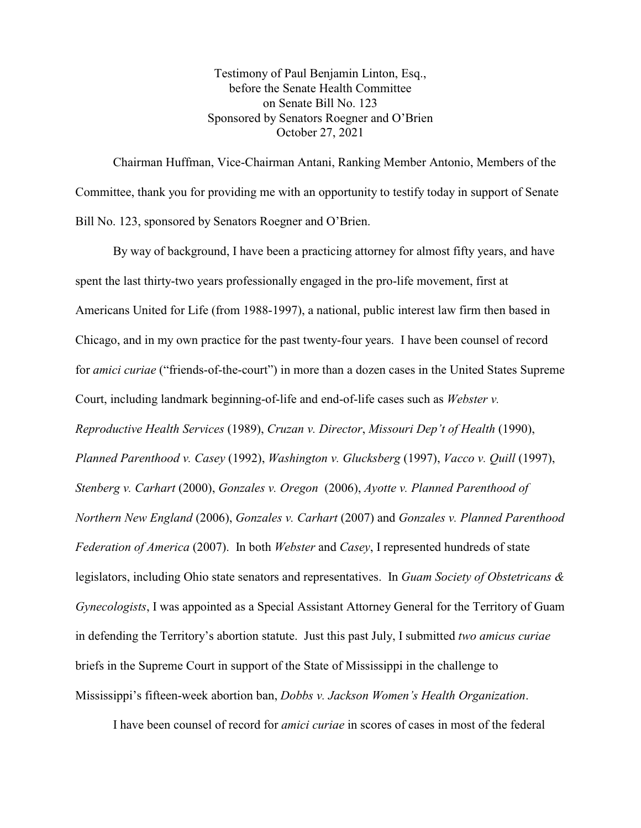Testimony of Paul Benjamin Linton, Esq., before the Senate Health Committee on Senate Bill No. 123 Sponsored by Senators Roegner and O'Brien October 27, 2021

Chairman Huffman, Vice-Chairman Antani, Ranking Member Antonio, Members of the Committee, thank you for providing me with an opportunity to testify today in support of Senate Bill No. 123, sponsored by Senators Roegner and O'Brien.

By way of background, I have been a practicing attorney for almost fifty years, and have spent the last thirty-two years professionally engaged in the pro-life movement, first at Americans United for Life (from 1988-1997), a national, public interest law firm then based in Chicago, and in my own practice for the past twenty-four years. I have been counsel of record for *amici curiae* ("friends-of-the-court") in more than a dozen cases in the United States Supreme Court, including landmark beginning-of-life and end-of-life cases such as *Webster v. Reproductive Health Services* (1989), *Cruzan v. Director*, *Missouri Dep't of Health* (1990), *Planned Parenthood v. Casey* (1992), *Washington v. Glucksberg* (1997), *Vacco v. Quill* (1997), *Stenberg v. Carhart* (2000), *Gonzales v. Oregon* (2006), *Ayotte v. Planned Parenthood of Northern New England* (2006), *Gonzales v. Carhart* (2007) and *Gonzales v. Planned Parenthood Federation of America* (2007). In both *Webster* and *Casey*, I represented hundreds of state legislators, including Ohio state senators and representatives. In *Guam Society of Obstetricans & Gynecologists*, I was appointed as a Special Assistant Attorney General for the Territory of Guam in defending the Territory's abortion statute. Just this past July, I submitted *two amicus curiae* briefs in the Supreme Court in support of the State of Mississippi in the challenge to Mississippi's fifteen-week abortion ban, *Dobbs v. Jackson Women's Health Organization*.

I have been counsel of record for *amici curiae* in scores of cases in most of the federal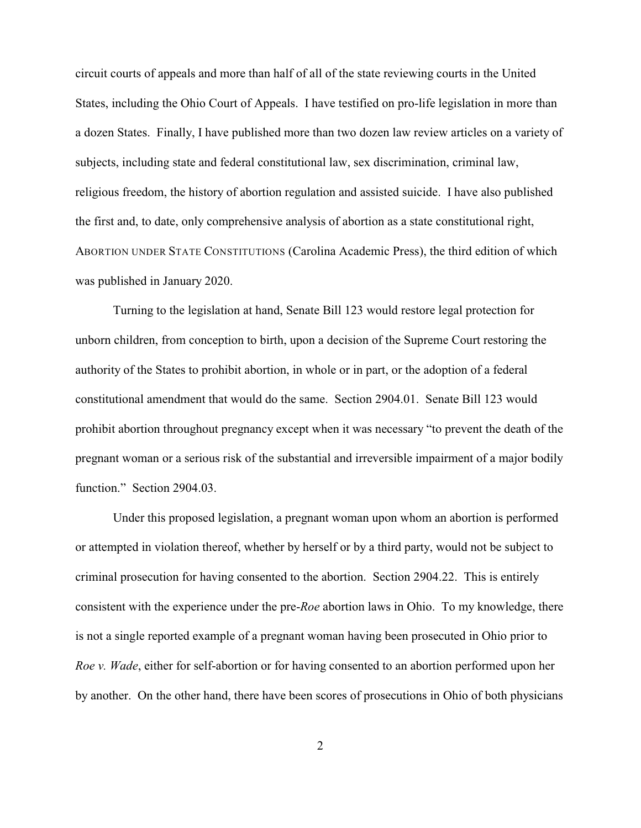circuit courts of appeals and more than half of all of the state reviewing courts in the United States, including the Ohio Court of Appeals. I have testified on pro-life legislation in more than a dozen States. Finally, I have published more than two dozen law review articles on a variety of subjects, including state and federal constitutional law, sex discrimination, criminal law, religious freedom, the history of abortion regulation and assisted suicide. I have also published the first and, to date, only comprehensive analysis of abortion as a state constitutional right, ABORTION UNDER STATE CONSTITUTIONS (Carolina Academic Press), the third edition of which was published in January 2020.

Turning to the legislation at hand, Senate Bill 123 would restore legal protection for unborn children, from conception to birth, upon a decision of the Supreme Court restoring the authority of the States to prohibit abortion, in whole or in part, or the adoption of a federal constitutional amendment that would do the same. Section 2904.01. Senate Bill 123 would prohibit abortion throughout pregnancy except when it was necessary "to prevent the death of the pregnant woman or a serious risk of the substantial and irreversible impairment of a major bodily function." Section 2904.03.

Under this proposed legislation, a pregnant woman upon whom an abortion is performed or attempted in violation thereof, whether by herself or by a third party, would not be subject to criminal prosecution for having consented to the abortion. Section 2904.22. This is entirely consistent with the experience under the pre-*Roe* abortion laws in Ohio. To my knowledge, there is not a single reported example of a pregnant woman having been prosecuted in Ohio prior to *Roe v. Wade*, either for self-abortion or for having consented to an abortion performed upon her by another. On the other hand, there have been scores of prosecutions in Ohio of both physicians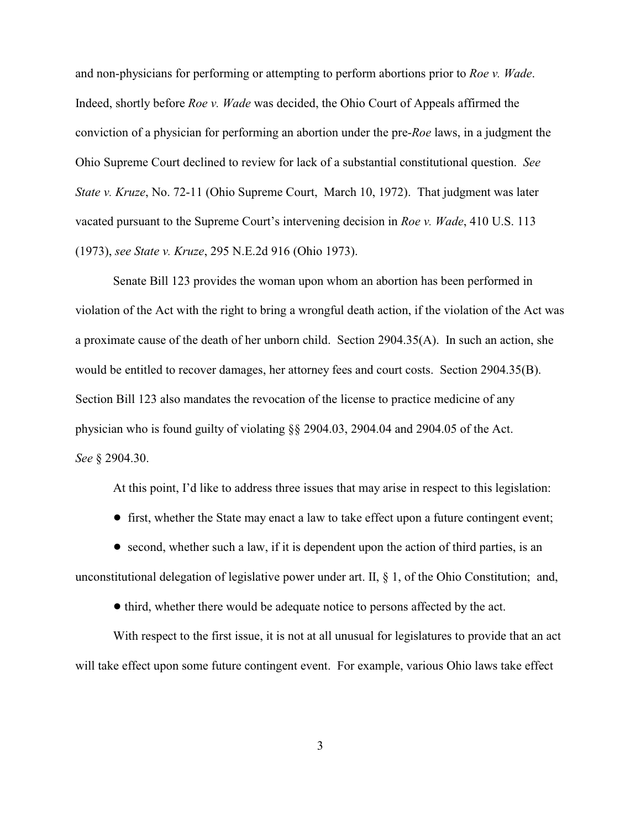and non-physicians for performing or attempting to perform abortions prior to *Roe v. Wade*. Indeed, shortly before *Roe v. Wade* was decided, the Ohio Court of Appeals affirmed the conviction of a physician for performing an abortion under the pre-*Roe* laws, in a judgment the Ohio Supreme Court declined to review for lack of a substantial constitutional question. *See State v. Kruze*, No. 72-11 (Ohio Supreme Court, March 10, 1972). That judgment was later vacated pursuant to the Supreme Court's intervening decision in *Roe v. Wade*, 410 U.S. 113 (1973), *see State v. Kruze*, 295 N.E.2d 916 (Ohio 1973).

Senate Bill 123 provides the woman upon whom an abortion has been performed in violation of the Act with the right to bring a wrongful death action, if the violation of the Act was a proximate cause of the death of her unborn child. Section 2904.35(A). In such an action, she would be entitled to recover damages, her attorney fees and court costs. Section 2904.35(B). Section Bill 123 also mandates the revocation of the license to practice medicine of any physician who is found guilty of violating §§ 2904.03, 2904.04 and 2904.05 of the Act. *See* § 2904.30.

At this point, I'd like to address three issues that may arise in respect to this legislation:

! first, whether the State may enact a law to take effect upon a future contingent event;

 $\bullet$  second, whether such a law, if it is dependent upon the action of third parties, is an unconstitutional delegation of legislative power under art. II, § 1, of the Ohio Constitution; and,

• third, whether there would be adequate notice to persons affected by the act.

With respect to the first issue, it is not at all unusual for legislatures to provide that an act will take effect upon some future contingent event. For example, various Ohio laws take effect

3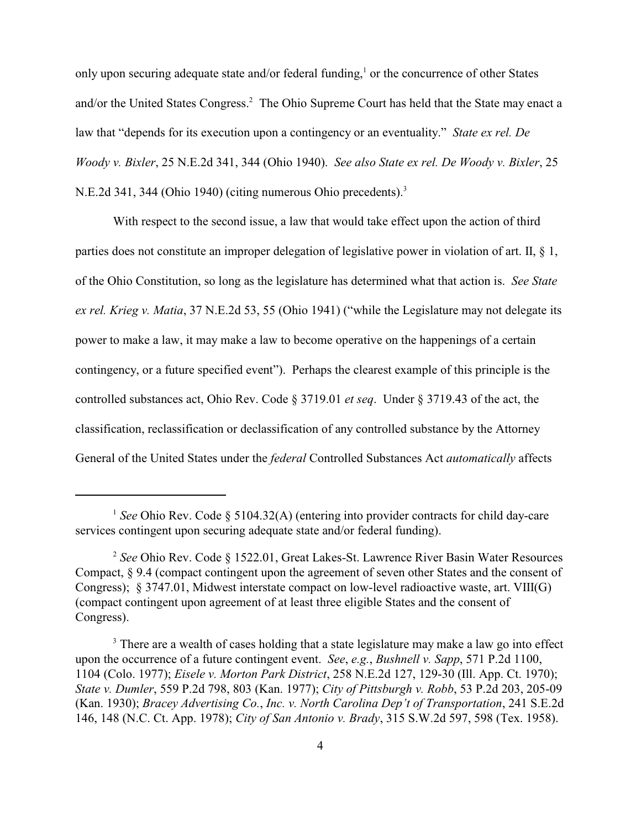only upon securing adequate state and/or federal funding,<sup>1</sup> or the concurrence of other States and/or the United States Congress.<sup>2</sup> The Ohio Supreme Court has held that the State may enact a law that "depends for its execution upon a contingency or an eventuality." *State ex rel. De Woody v. Bixler*, 25 N.E.2d 341, 344 (Ohio 1940). *See also State ex rel. De Woody v. Bixler*, 25 N.E.2d 341, 344 (Ohio 1940) (citing numerous Ohio precedents).<sup>3</sup>

With respect to the second issue, a law that would take effect upon the action of third parties does not constitute an improper delegation of legislative power in violation of art. II, § 1, of the Ohio Constitution, so long as the legislature has determined what that action is. *See State ex rel. Krieg v. Matia*, 37 N.E.2d 53, 55 (Ohio 1941) ("while the Legislature may not delegate its power to make a law, it may make a law to become operative on the happenings of a certain contingency, or a future specified event"). Perhaps the clearest example of this principle is the controlled substances act, Ohio Rev. Code § 3719.01 *et seq*. Under § 3719.43 of the act, the classification, reclassification or declassification of any controlled substance by the Attorney General of the United States under the *federal* Controlled Substances Act *automatically* affects

<sup>&</sup>lt;sup>1</sup> See Ohio Rev. Code § 5104.32(A) (entering into provider contracts for child day-care services contingent upon securing adequate state and/or federal funding).

<sup>&</sup>lt;sup>2</sup> See Ohio Rev. Code § 1522.01, Great Lakes-St. Lawrence River Basin Water Resources Compact, § 9.4 (compact contingent upon the agreement of seven other States and the consent of Congress); § 3747.01, Midwest interstate compact on low-level radioactive waste, art. VIII(G) (compact contingent upon agreement of at least three eligible States and the consent of Congress).

<sup>&</sup>lt;sup>3</sup> There are a wealth of cases holding that a state legislature may make a law go into effect upon the occurrence of a future contingent event. *See*, *e.g.*, *Bushnell v. Sapp*, 571 P.2d 1100, 1104 (Colo. 1977); *Eisele v. Morton Park District*, 258 N.E.2d 127, 129-30 (Ill. App. Ct. 1970); *State v. Dumler*, 559 P.2d 798, 803 (Kan. 1977); *City of Pittsburgh v. Robb*, 53 P.2d 203, 205-09 (Kan. 1930); *Bracey Advertising Co.*, *Inc. v. North Carolina Dep't of Transportation*, 241 S.E.2d 146, 148 (N.C. Ct. App. 1978); *City of San Antonio v. Brady*, 315 S.W.2d 597, 598 (Tex. 1958).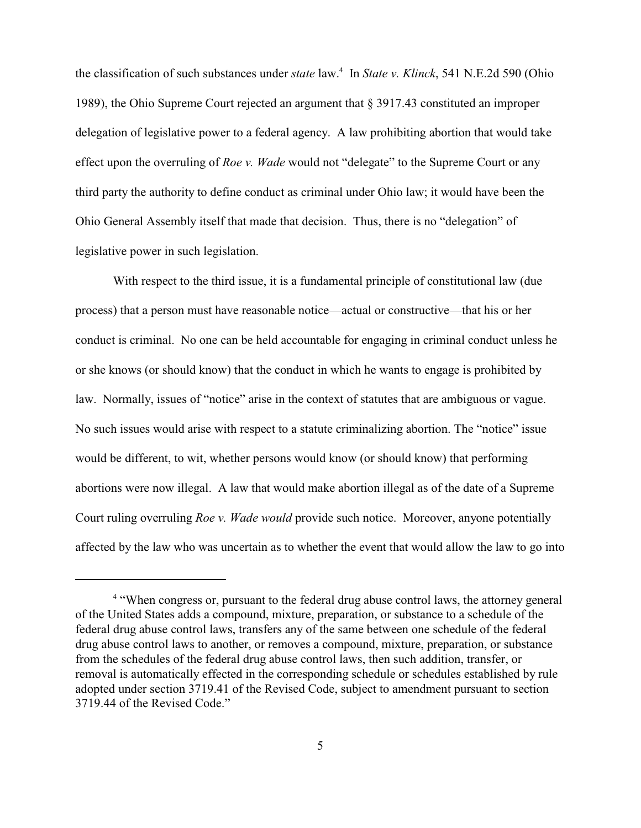the classification of such substances under *state* law.<sup>4</sup> In *State v. Klinck*, 541 N.E.2d 590 (Ohio 1989), the Ohio Supreme Court rejected an argument that § 3917.43 constituted an improper delegation of legislative power to a federal agency. A law prohibiting abortion that would take effect upon the overruling of *Roe v. Wade* would not "delegate" to the Supreme Court or any third party the authority to define conduct as criminal under Ohio law; it would have been the Ohio General Assembly itself that made that decision. Thus, there is no "delegation" of legislative power in such legislation.

With respect to the third issue, it is a fundamental principle of constitutional law (due process) that a person must have reasonable notice—actual or constructive—that his or her conduct is criminal. No one can be held accountable for engaging in criminal conduct unless he or she knows (or should know) that the conduct in which he wants to engage is prohibited by law. Normally, issues of "notice" arise in the context of statutes that are ambiguous or vague. No such issues would arise with respect to a statute criminalizing abortion. The "notice" issue would be different, to wit, whether persons would know (or should know) that performing abortions were now illegal. A law that would make abortion illegal as of the date of a Supreme Court ruling overruling *Roe v. Wade would* provide such notice. Moreover, anyone potentially affected by the law who was uncertain as to whether the event that would allow the law to go into

<sup>&</sup>lt;sup>4</sup> "When congress or, pursuant to the federal drug abuse control laws, the attorney general of the United States adds a compound, mixture, preparation, or substance to a schedule of the federal drug abuse control laws, transfers any of the same between one schedule of the federal drug abuse control laws to another, or removes a compound, mixture, preparation, or substance from the schedules of the federal drug abuse control laws, then such addition, transfer, or removal is automatically effected in the corresponding schedule or schedules established by rule adopted under section 3719.41 of the Revised Code, subject to amendment pursuant to section 3719.44 of the Revised Code."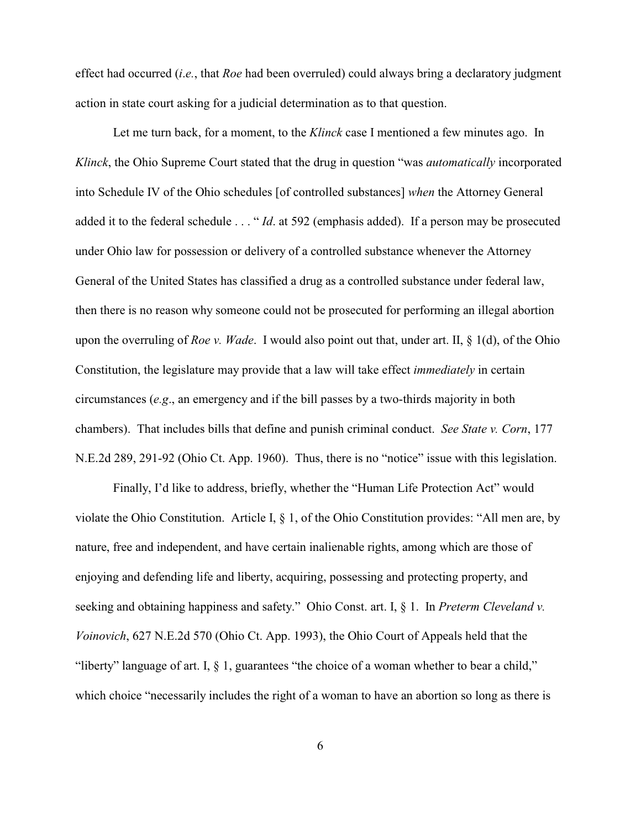effect had occurred (*i*.*e.*, that *Roe* had been overruled) could always bring a declaratory judgment action in state court asking for a judicial determination as to that question.

Let me turn back, for a moment, to the *Klinck* case I mentioned a few minutes ago. In *Klinck*, the Ohio Supreme Court stated that the drug in question "was *automatically* incorporated into Schedule IV of the Ohio schedules [of controlled substances] *when* the Attorney General added it to the federal schedule . . . " *Id*. at 592 (emphasis added). If a person may be prosecuted under Ohio law for possession or delivery of a controlled substance whenever the Attorney General of the United States has classified a drug as a controlled substance under federal law, then there is no reason why someone could not be prosecuted for performing an illegal abortion upon the overruling of *Roe v. Wade*. I would also point out that, under art. II, § 1(d), of the Ohio Constitution, the legislature may provide that a law will take effect *immediately* in certain circumstances (*e.g*., an emergency and if the bill passes by a two-thirds majority in both chambers). That includes bills that define and punish criminal conduct. *See State v. Corn*, 177 N.E.2d 289, 291-92 (Ohio Ct. App. 1960). Thus, there is no "notice" issue with this legislation.

Finally, I'd like to address, briefly, whether the "Human Life Protection Act" would violate the Ohio Constitution. Article I, § 1, of the Ohio Constitution provides: "All men are, by nature, free and independent, and have certain inalienable rights, among which are those of enjoying and defending life and liberty, acquiring, possessing and protecting property, and seeking and obtaining happiness and safety." Ohio Const. art. I, § 1. In *Preterm Cleveland v. Voinovich*, 627 N.E.2d 570 (Ohio Ct. App. 1993), the Ohio Court of Appeals held that the "liberty" language of art. I, § 1, guarantees "the choice of a woman whether to bear a child," which choice "necessarily includes the right of a woman to have an abortion so long as there is

6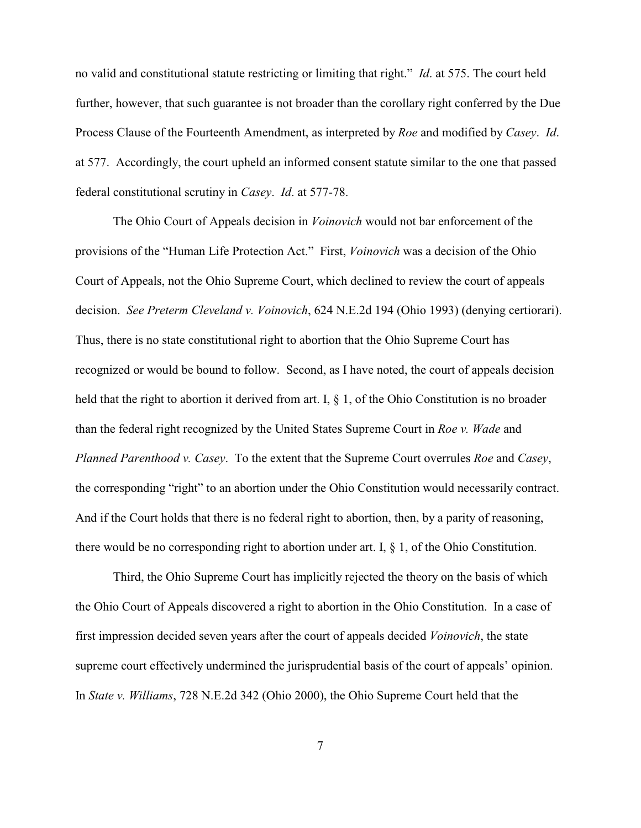no valid and constitutional statute restricting or limiting that right." *Id*. at 575. The court held further, however, that such guarantee is not broader than the corollary right conferred by the Due Process Clause of the Fourteenth Amendment, as interpreted by *Roe* and modified by *Casey*. *Id*. at 577. Accordingly, the court upheld an informed consent statute similar to the one that passed federal constitutional scrutiny in *Casey*. *Id*. at 577-78.

The Ohio Court of Appeals decision in *Voinovich* would not bar enforcement of the provisions of the "Human Life Protection Act." First, *Voinovich* was a decision of the Ohio Court of Appeals, not the Ohio Supreme Court, which declined to review the court of appeals decision. *See Preterm Cleveland v. Voinovich*, 624 N.E.2d 194 (Ohio 1993) (denying certiorari). Thus, there is no state constitutional right to abortion that the Ohio Supreme Court has recognized or would be bound to follow. Second, as I have noted, the court of appeals decision held that the right to abortion it derived from art. I, § 1, of the Ohio Constitution is no broader than the federal right recognized by the United States Supreme Court in *Roe v. Wade* and *Planned Parenthood v. Casey*. To the extent that the Supreme Court overrules *Roe* and *Casey*, the corresponding "right" to an abortion under the Ohio Constitution would necessarily contract. And if the Court holds that there is no federal right to abortion, then, by a parity of reasoning, there would be no corresponding right to abortion under art. I, § 1, of the Ohio Constitution.

Third, the Ohio Supreme Court has implicitly rejected the theory on the basis of which the Ohio Court of Appeals discovered a right to abortion in the Ohio Constitution. In a case of first impression decided seven years after the court of appeals decided *Voinovich*, the state supreme court effectively undermined the jurisprudential basis of the court of appeals' opinion. In *State v. Williams*, 728 N.E.2d 342 (Ohio 2000), the Ohio Supreme Court held that the